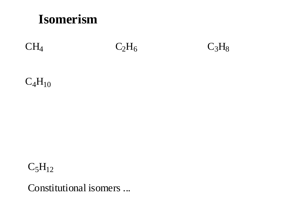# **Isomerism**

# $CH<sub>4</sub>$   $C<sub>2</sub>H<sub>6</sub>$   $C<sub>3</sub>H<sub>8</sub>$

## $C_4H_{10}$

# $C_5H_{12}$

Constitutional isomers ...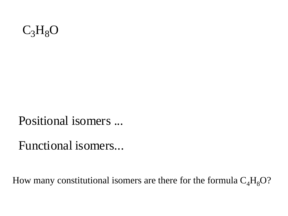

Positional isomers ...

Functional isomers...

How many constitutional isomers are there for the formula  $C_4H_8O$ ?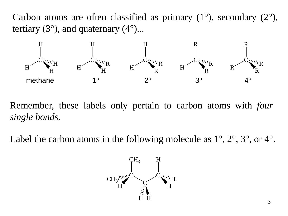Carbon atoms are often classified as primary  $(1^{\circ})$ , secondary  $(2^{\circ})$ , tertiary  $(3^{\circ})$ , and quaternary  $(4^{\circ})$ ...



Remember, these labels only pertain to carbon atoms with *four single bonds*.

Label the carbon atoms in the following molecule as  $1^{\circ}$ ,  $2^{\circ}$ ,  $3^{\circ}$ , or  $4^{\circ}$ .

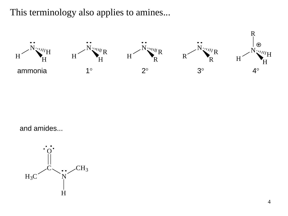This terminology also applies to amines...



and amides...

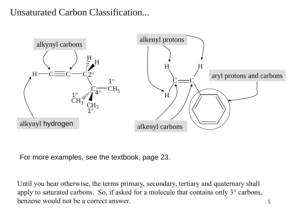## Unsaturated Carbon Classification...



For more examples, see the textbook, page 23.

Until you hear otherwise, the terms primary, secondary, tertiary and quaternary shall apply to saturated carbons. So, if asked for a molecule that contains only 3° carbons, benzene would not be a correct answer.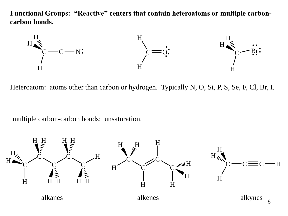**Functional Groups: "Reactive" centers that contain heteroatoms or multiple carboncarbon bonds.**



Heteroatom: atoms other than carbon or hydrogen. Typically N, O, Si, P, S, Se, F, Cl, Br, I.

multiple carbon-carbon bonds: unsaturation.

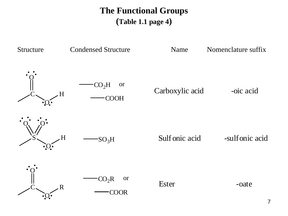## **The Functional Groups (Table 1.1 page 4)**

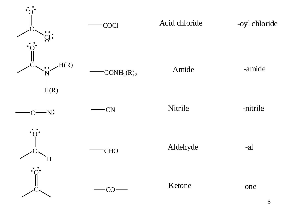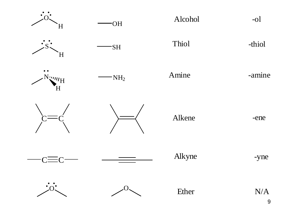







OH

 $\dot{s}$  -thiol -thiol

Alcohol -ol



H

 $\cdot$ NH<sub>2</sub>

 $N_{2}^{2}$   $N_{2}^{2}$   $N_{\text{H}}$   $\sim$   $N_{\text{H}_2}$   $\sim$   $N_{\text{H}_2}$   $\sim$   $N_{\text{H}_2}$   $\sim$   $N_{\text{H}_2}$   $\sim$   $N_{\text{H}_2}$   $\sim$   $N_{\text{H}_2}$ 



 $\overline{C}$   $\overline{C}$   $\overline{C}$   $\overline{C}$   $\overline{C}$   $\overline{C}$   $\overline{C}$   $\overline{C}$   $\overline{C}$   $\overline{C}$   $\overline{C}$   $\overline{C}$   $\overline{C}$   $\overline{C}$   $\overline{C}$   $\overline{C}$   $\overline{C}$   $\overline{C}$   $\overline{C}$   $\overline{C}$   $\overline{C}$   $\overline{C}$   $\overline{C}$   $\overline{C}$   $\overline{$ 





Alkyne -yne





Ether N/A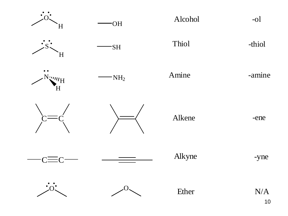



H



OH



Alcohol -ol





 $N_{2}^{2}$   $N_{2}^{2}$   $N_{\text{H}}$   $\sim$   $N_{\text{H}_2}$   $\sim$   $N_{\text{H}_2}$   $\sim$   $N_{\text{H}_2}$   $\sim$   $N_{\text{H}_2}$   $\sim$   $N_{\text{H}_2}$   $\sim$   $N_{\text{H}_2}$ 



 $\overline{C}$   $\overline{C}$   $\overline{C}$   $\overline{C}$   $\overline{C}$   $\overline{C}$   $\overline{C}$   $\overline{C}$   $\overline{C}$   $\overline{C}$   $\overline{C}$   $\overline{C}$   $\overline{C}$   $\overline{C}$   $\overline{C}$   $\overline{C}$   $\overline{C}$   $\overline{C}$   $\overline{C}$   $\overline{C}$   $\overline{C}$   $\overline{C}$   $\overline{C}$   $\overline{C}$   $\overline{$ 





Alkyne -yne





Ether N/A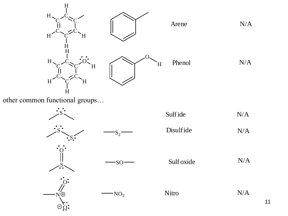

other common functional groups…

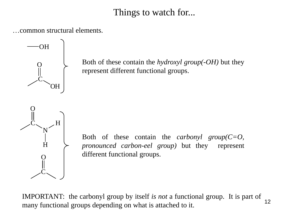## Things to watch for...

…common structural elements.



Both of these contain the *hydroxyl group(-OH)* but they represent different functional groups.



Both of these contain the *carbonyl group(C=O, pronounced carbon-eel group)* but they represent different functional groups.

IMPORTANT: the carbonyl group by itself *is not* a functional group. It is part of many functional groups depending on what is attached to it. 12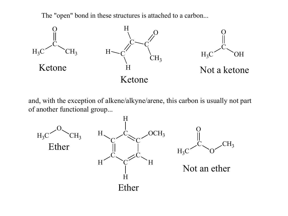The "open" bond in these structures is attached to a carbon...



and, with the exception of alkene/alkyne/arene, this carbon is usually not part of another functional group...

![](_page_12_Figure_3.jpeg)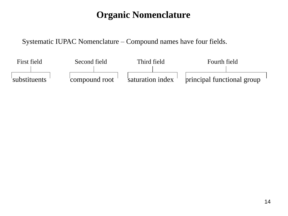## **Organic Nomenclature**

Systematic IUPAC Nomenclature – Compound names have four fields.

![](_page_13_Figure_2.jpeg)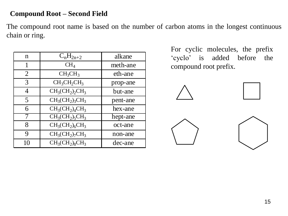#### **Compound Root – Second Field**

The compound root name is based on the number of carbon atoms in the longest continuous chain or ring.

| n  | $C_nH_{2n+2}$                   | alkane   |  |
|----|---------------------------------|----------|--|
|    | $\text{CH}_4$                   | meth-ane |  |
| 2  | CH <sub>3</sub> CH <sub>3</sub> | eth-ane  |  |
| 3  | $CH_3CH_2CH_3$                  | prop-ane |  |
| 4  | $CH3(CH2)2CH3$                  | but-ane  |  |
| 5  | $CH3(CH2)3CH3$                  | pent-ane |  |
| 6  | $CH3(CH2)4CH3$                  | hex-ane  |  |
|    | $CH3(CH2)5CH3$                  | hept-ane |  |
| 8  | $CH_3CH_2)_6CH_3$               | oct-ane  |  |
| 9  | $CH3(CH2)7CH3$                  | non-ane  |  |
| 10 | $CH3(CH2)8CH3$                  | dec-ane  |  |

For cyclic molecules, the prefix "cyclo" is added before the compound root prefix.

![](_page_14_Figure_4.jpeg)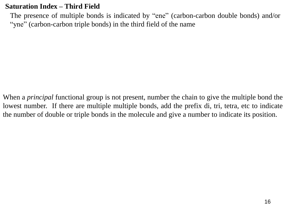#### **Saturation Index – Third Field**

The presence of multiple bonds is indicated by "ene" (carbon-carbon double bonds) and/or "yne" (carbon-carbon triple bonds) in the third field of the name

When a *principal* functional group is not present, number the chain to give the multiple bond the lowest number. If there are multiple multiple bonds, add the prefix di, tri, tetra, etc to indicate the number of double or triple bonds in the molecule and give a number to indicate its position.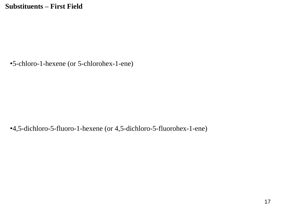•5-chloro-1-hexene (or 5-chlorohex-1-ene)

•4,5-dichloro-5-fluoro-1-hexene (or 4,5-dichloro-5-fluorohex-1-ene)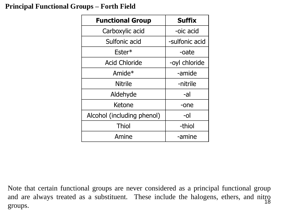#### **Principal Functional Groups – Forth Field**

| <b>Functional Group</b>    | <b>Suffix</b>  |  |  |  |
|----------------------------|----------------|--|--|--|
| Carboxylic acid            | -oic acid      |  |  |  |
| Sulfonic acid              | -sulfonic acid |  |  |  |
| $Ester*$                   | -oate          |  |  |  |
| <b>Acid Chloride</b>       | -oyl chloride  |  |  |  |
| Amide $*$                  | -amide         |  |  |  |
| Nitrile                    | -nitrile       |  |  |  |
| Aldehyde                   | -al            |  |  |  |
| Ketone                     | -one           |  |  |  |
| Alcohol (including phenol) | -ol            |  |  |  |
| <b>Thiol</b>               | -thiol         |  |  |  |
| Amine                      | -amine         |  |  |  |

Note that certain functional groups are never considered as a principal functional group and are always treated as a substituent. These include the halogens, ethers, and nitro groups. 18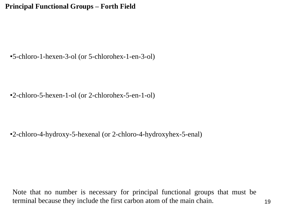**Principal Functional Groups – Forth Field** 

•5-chloro-1-hexen-3-ol (or 5-chlorohex-1-en-3-ol)

•2-chloro-5-hexen-1-ol (or 2-chlorohex-5-en-1-ol)

•2-chloro-4-hydroxy-5-hexenal (or 2-chloro-4-hydroxyhex-5-enal)

Note that no number is necessary for principal functional groups that must be terminal because they include the first carbon atom of the main chain. 19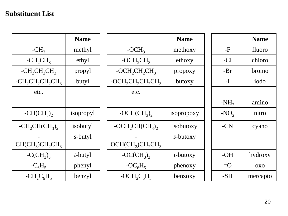#### **Substituent List**

|                     | <b>Name</b>     |                      | <b>Name</b> |         | <b>Name</b> |
|---------------------|-----------------|----------------------|-------------|---------|-------------|
| $-CH3$              | methyl          | $-OCH3$              | methoxy     | $-F$    | fluoro      |
| $-CH_2CH_3$         | ethyl           | $-OCH_2CH_3$         | ethoxy      | $-Cl$   | chloro      |
| $-CH_2CH_2CH_3$     | propyl          | $-OCH_2CH_2CH_3$     | propoxy     | $-Br$   | bromo       |
| $-CH_2CH_2CH_2CH_3$ | butyl           | $-OCH_2CH_2CH_2CH_3$ | butoxy      | $-I$    | iodo        |
| etc.                |                 | etc.                 |             |         |             |
|                     |                 |                      |             | $-NH_2$ | amino       |
| $-CH(CH_3)$         | isopropyl       | $-OCH(CH_3)$         | isopropoxy  | $-NO2$  | nitro       |
| $-CH_2CH(CH_3)$     | isobutyl        | $-OCH_2CH(CH_3)$ ,   | isobutoxy   | $-CN$   | cyano       |
| $CH(CH3)CH2CH3$     | s-butyl         | $OCH(CH_3)CH_2CH_3$  | s-butoxy    |         |             |
| $-C(CH_3)_3$        | <i>t</i> -butyl | $-OC(CH_3)_3$        | $t$ -butoxy | $-OH$   | hydroxy     |
| $-C_6H_5$           | phenyl          | $-OC6H5$             | phenoxy     | $= 0$   | <b>OXO</b>  |
| $-CH_2C_6H_5$       | benzyl          | $- OCH_2C_6H_5$      | benzoxy     | $-SH$   | mercapto    |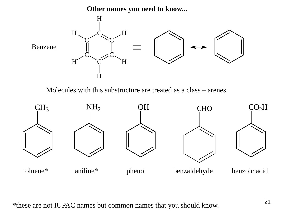**Other names you need to know...**

![](_page_20_Figure_1.jpeg)

Molecules with this substructure are treated as a class – arenes.

![](_page_20_Figure_3.jpeg)

\*these are not IUPAC names but common names that you should know.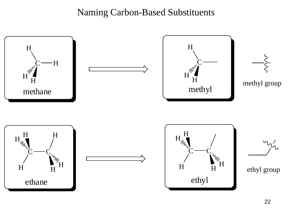### Naming Carbon-Based Substituents

![](_page_21_Figure_1.jpeg)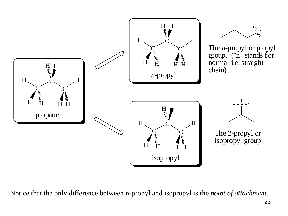![](_page_22_Figure_0.jpeg)

Notice that the only difference between n-propyl and isopropyl is the *point of attachment*.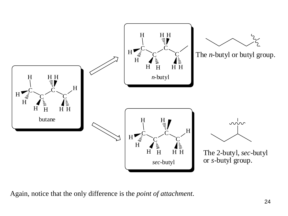![](_page_23_Figure_0.jpeg)

Again, notice that the only difference is the *point of attachment*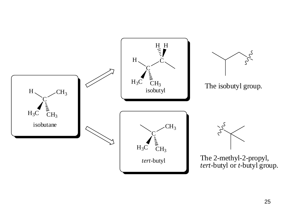![](_page_24_Figure_0.jpeg)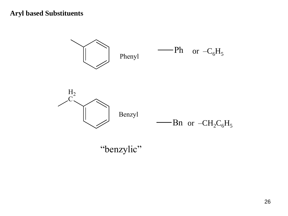#### **Aryl based Substituents**

![](_page_25_Figure_1.jpeg)

"benzylic"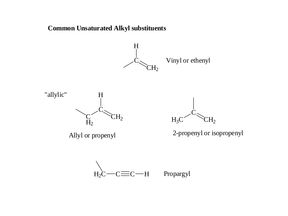#### **Common Unsaturated Alkyl substituents**

![](_page_26_Figure_1.jpeg)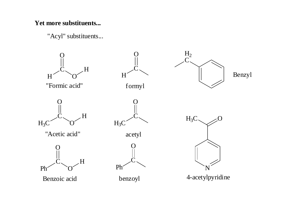#### **Yet more substituents...**

"Acyl" substituents...

![](_page_27_Figure_2.jpeg)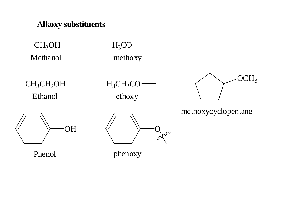#### **Alkoxy substituents**

 $CH<sub>3</sub>OH$ Methanol  $H_3CO$ methoxy

 $CH<sub>3</sub>CH<sub>2</sub>OH$ Ethanol

 $H_3CH_2CO$ ethoxy

![](_page_28_Figure_7.jpeg)

methoxycyclopentane

![](_page_28_Picture_9.jpeg)

Phenol phenoxy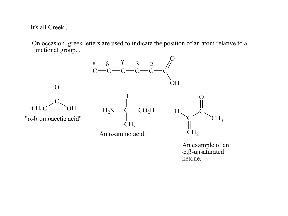It's all Greek...

On occasion, greek letters are used to indicate the position of an atom relative to a functional group...

![](_page_29_Figure_2.jpeg)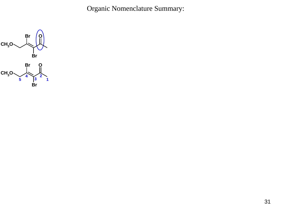Organic Nomenclature Summary:

![](_page_30_Figure_1.jpeg)